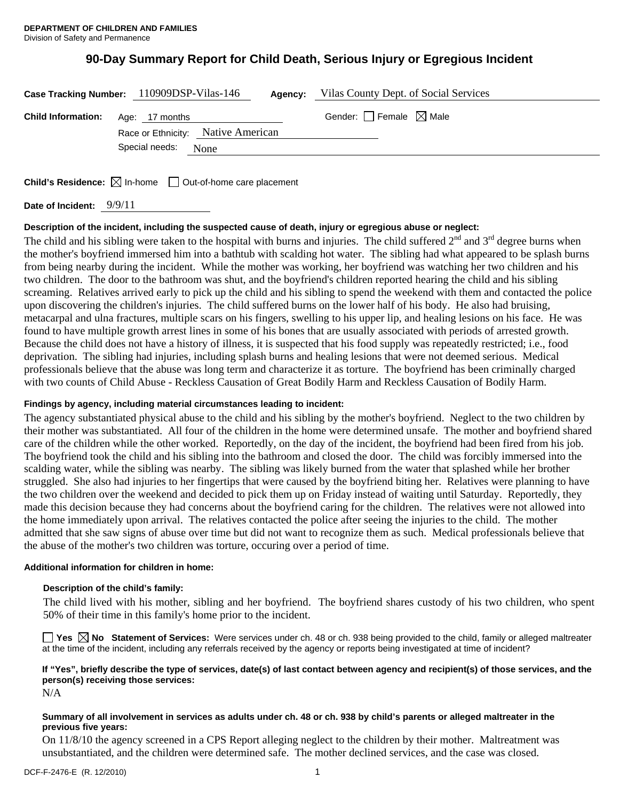# **90-Day Summary Report for Child Death, Serious Injury or Egregious Incident**

|                                          | Case Tracking Number: 110909DSP-Vilas-146 | <b>Agency:</b> Vilas County Dept. of Social Services |
|------------------------------------------|-------------------------------------------|------------------------------------------------------|
| <b>Child Information:</b> Age: 17 months |                                           | Gender: $\Box$ Female $\boxtimes$ Male               |
|                                          | Race or Ethnicity: Native American        |                                                      |
|                                          | Special needs: None                       |                                                      |
|                                          |                                           |                                                      |

**Child's Residence:**  $\boxtimes$  In-home  $\Box$  Out-of-home care placement

**Date of Incident:** 9/9/11

## **Description of the incident, including the suspected cause of death, injury or egregious abuse or neglect:**

The child and his sibling were taken to the hospital with burns and injuries. The child suffered  $2^{nd}$  and  $3^{rd}$  degree burns when the mother's boyfriend immersed him into a bathtub with scalding hot water. The sibling had what appeared to be splash burns from being nearby during the incident. While the mother was working, her boyfriend was watching her two children and his two children. The door to the bathroom was shut, and the boyfriend's children reported hearing the child and his sibling screaming. Relatives arrived early to pick up the child and his sibling to spend the weekend with them and contacted the police upon discovering the children's injuries. The child suffered burns on the lower half of his body. He also had bruising, metacarpal and ulna fractures, multiple scars on his fingers, swelling to his upper lip, and healing lesions on his face. He was found to have multiple growth arrest lines in some of his bones that are usually associated with periods of arrested growth. Because the child does not have a history of illness, it is suspected that his food supply was repeatedly restricted; i.e., food deprivation. The sibling had injuries, including splash burns and healing lesions that were not deemed serious. Medical professionals believe that the abuse was long term and characterize it as torture. The boyfriend has been criminally charged with two counts of Child Abuse - Reckless Causation of Great Bodily Harm and Reckless Causation of Bodily Harm.

## **Findings by agency, including material circumstances leading to incident:**

The agency substantiated physical abuse to the child and his sibling by the mother's boyfriend. Neglect to the two children by their mother was substantiated. All four of the children in the home were determined unsafe. The mother and boyfriend shared care of the children while the other worked. Reportedly, on the day of the incident, the boyfriend had been fired from his job. The boyfriend took the child and his sibling into the bathroom and closed the door. The child was forcibly immersed into the scalding water, while the sibling was nearby. The sibling was likely burned from the water that splashed while her brother struggled. She also had injuries to her fingertips that were caused by the boyfriend biting her. Relatives were planning to have the two children over the weekend and decided to pick them up on Friday instead of waiting until Saturday. Reportedly, they made this decision because they had concerns about the boyfriend caring for the children. The relatives were not allowed into the home immediately upon arrival. The relatives contacted the police after seeing the injuries to the child. The mother admitted that she saw signs of abuse over time but did not want to recognize them as such. Medical professionals believe that the abuse of the mother's two children was torture, occuring over a period of time.

### **Additional information for children in home:**

#### **Description of the child's family:**

The child lived with his mother, sibling and her boyfriend. The boyfriend shares custody of his two children, who spent 50% of their time in this family's home prior to the incident.

**Yes No Statement of Services:** Were services under ch. 48 or ch. 938 being provided to the child, family or alleged maltreater at the time of the incident, including any referrals received by the agency or reports being investigated at time of incident?

## **If "Yes", briefly describe the type of services, date(s) of last contact between agency and recipient(s) of those services, and the person(s) receiving those services:**

N/A

### **Summary of all involvement in services as adults under ch. 48 or ch. 938 by child's parents or alleged maltreater in the previous five years:**

On 11/8/10 the agency screened in a CPS Report alleging neglect to the children by their mother. Maltreatment was unsubstantiated, and the children were determined safe. The mother declined services, and the case was closed.